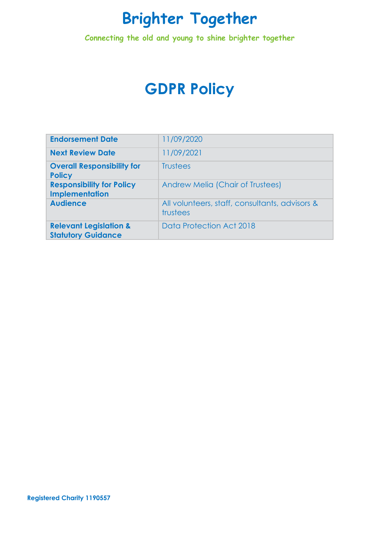**Connecting the old and young to shine brighter together**

# **GDPR Policy**

| <b>Endorsement Date</b>                                        | 11/09/2020                                                 |
|----------------------------------------------------------------|------------------------------------------------------------|
| <b>Next Review Date</b>                                        | 11/09/2021                                                 |
| <b>Overall Responsibility for</b><br><b>Policy</b>             | <b>Trustees</b>                                            |
| <b>Responsibility for Policy</b><br><b>Implementation</b>      | <b>Andrew Melia (Chair of Trustees)</b>                    |
| <b>Audience</b>                                                | All volunteers, staff, consultants, advisors &<br>trustees |
| <b>Relevant Legislation &amp;</b><br><b>Statutory Guidance</b> | Data Protection Act 2018                                   |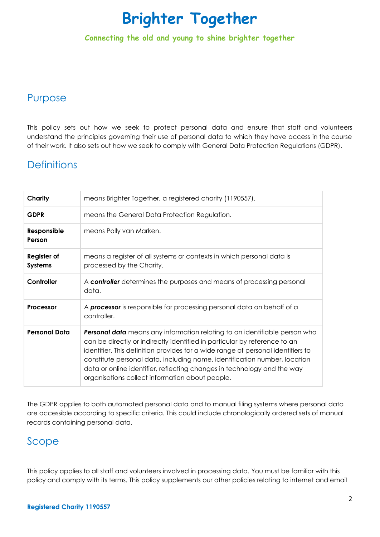**Connecting the old and young to shine brighter together**

## Purpose

This policy sets out how we seek to protect personal data and ensure that staff and volunteers understand the principles governing their use of personal data to which they have access in the course of their work. It also sets out how we seek to comply with General Data Protection Regulations (GDPR).

## **Definitions**

| Charity                       | means Brighter Together, a registered charity (1190557).                                                                                                                                                                                                                                                                                                                                                                                                      |
|-------------------------------|---------------------------------------------------------------------------------------------------------------------------------------------------------------------------------------------------------------------------------------------------------------------------------------------------------------------------------------------------------------------------------------------------------------------------------------------------------------|
| <b>GDPR</b>                   | means the General Data Protection Regulation.                                                                                                                                                                                                                                                                                                                                                                                                                 |
| Responsible<br>Person         | means Polly van Marken.                                                                                                                                                                                                                                                                                                                                                                                                                                       |
| Register of<br><b>Systems</b> | means a register of all systems or contexts in which personal data is<br>processed by the Charity.                                                                                                                                                                                                                                                                                                                                                            |
| Controller                    | A controller determines the purposes and means of processing personal<br>data.                                                                                                                                                                                                                                                                                                                                                                                |
| Processor                     | A <b>processor</b> is responsible for processing personal data on behalf of a<br>controller.                                                                                                                                                                                                                                                                                                                                                                  |
| <b>Personal Data</b>          | <b>Personal data</b> means any information relating to an identifiable person who<br>can be directly or indirectly identified in particular by reference to an<br>identifier. This definition provides for a wide range of personal identifiers to<br>constitute personal data, including name, identification number, location<br>data or online identifier, reflecting changes in technology and the way<br>organisations collect information about people. |

The GDPR applies to both automated personal data and to manual filing systems where personal data are accessible according to specific criteria. This could include chronologically ordered sets of manual records containing personal data.

### Scope

This policy applies to all staff and volunteers involved in processing data. You must be familiar with this policy and comply with its terms. This policy supplements our other policies relating to internet and email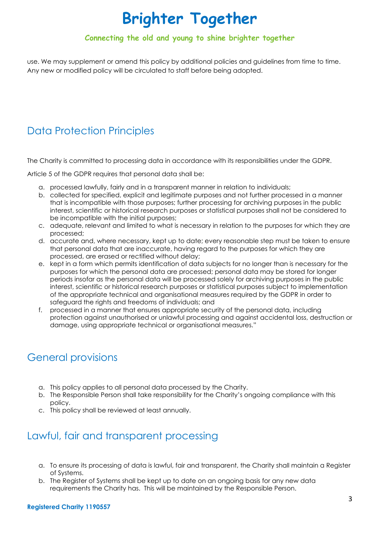### **Connecting the old and young to shine brighter together**

use. We may supplement or amend this policy by additional policies and guidelines from time to time. Any new or modified policy will be circulated to staff before being adopted.

# Data Protection Principles

The Charity is committed to processing data in accordance with its responsibilities under the GDPR.

Article 5 of the GDPR requires that personal data shall be:

- a. processed lawfully, fairly and in a transparent manner in relation to individuals;
- b. collected for specified, explicit and legitimate purposes and not further processed in a manner that is incompatible with those purposes; further processing for archiving purposes in the public interest, scientific or historical research purposes or statistical purposes shall not be considered to be incompatible with the initial purposes;
- c. adequate, relevant and limited to what is necessary in relation to the purposes for which they are processed;
- d. accurate and, where necessary, kept up to date; every reasonable step must be taken to ensure that personal data that are inaccurate, having regard to the purposes for which they are processed, are erased or rectified without delay;
- e. kept in a form which permits identification of data subjects for no longer than is necessary for the purposes for which the personal data are processed; personal data may be stored for longer periods insofar as the personal data will be processed solely for archiving purposes in the public interest, scientific or historical research purposes or statistical purposes subject to implementation of the appropriate technical and organisational measures required by the GDPR in order to safeguard the rights and freedoms of individuals; and
- f. processed in a manner that ensures appropriate security of the personal data, including protection against unauthorised or unlawful processing and against accidental loss, destruction or damage, using appropriate technical or organisational measures."

# General provisions

- a. This policy applies to all personal data processed by the Charity.
- b. The Responsible Person shall take responsibility for the Charity's ongoing compliance with this policy.
- c. This policy shall be reviewed at least annually.

# Lawful, fair and transparent processing

- a. To ensure its processing of data is lawful, fair and transparent, the Charity shall maintain a Register of Systems.
- b. The Register of Systems shall be kept up to date on an ongoing basis for any new data requirements the Charity has. This will be maintained by the Responsible Person.

#### **Registered Charity 1190557**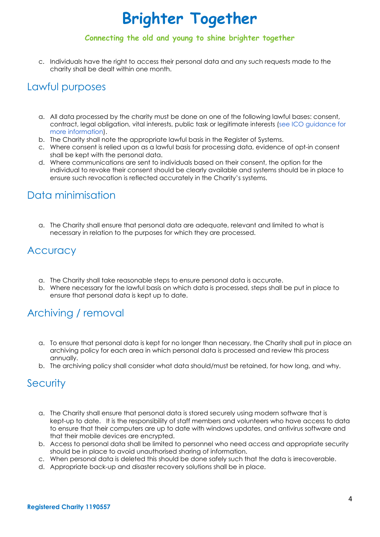#### **Connecting the old and young to shine brighter together**

c. Individuals have the right to access their personal data and any such requests made to the charity shall be dealt within one month.

### Lawful purposes

- a. All data processed by the charity must be done on one of the following lawful bases: consent, contract, legal obligation, vital interests, public task or legitimate interests (see ICO [guidance](https://ico.org.uk/for-organisations/guide-to-the-general-data-protection-regulation-gdpr/lawful-basis-for-processing/) for more [information\)](https://ico.org.uk/for-organisations/guide-to-the-general-data-protection-regulation-gdpr/lawful-basis-for-processing/).
- b. The Charity shall note the appropriate lawful basis in the Register of Systems.
- c. Where consent is relied upon as a lawful basis for processing data, evidence of opt-in consent shall be kept with the personal data.
- d. Where communications are sent to individuals based on their consent, the option for the individual to revoke their consent should be clearly available and systems should be in place to ensure such revocation is reflected accurately in the Charity's systems.

## Data minimisation

a. The Charity shall ensure that personal data are adequate, relevant and limited to what is necessary in relation to the purposes for which they are processed.

### **Accuracy**

- a. The Charity shall take reasonable steps to ensure personal data is accurate.
- b. Where necessary for the lawful basis on which data is processed, steps shall be put in place to ensure that personal data is kept up to date.

## Archiving / removal

- a. To ensure that personal data is kept for no longer than necessary, the Charity shall put in place an archiving policy for each area in which personal data is processed and review this process annually.
- b. The archiving policy shall consider what data should/must be retained, for how long, and why.

### **Security**

- a. The Charity shall ensure that personal data is stored securely using modern software that is kept-up to date. It is the responsibility of staff members and volunteers who have access to data to ensure that their computers are up to date with windows updates, and antivirus software and that their mobile devices are encrypted.
- b. Access to personal data shall be limited to personnel who need access and appropriate security should be in place to avoid unauthorised sharing of information.
- c. When personal data is deleted this should be done safely such that the data is irrecoverable.
- d. Appropriate back-up and disaster recovery solutions shall be in place.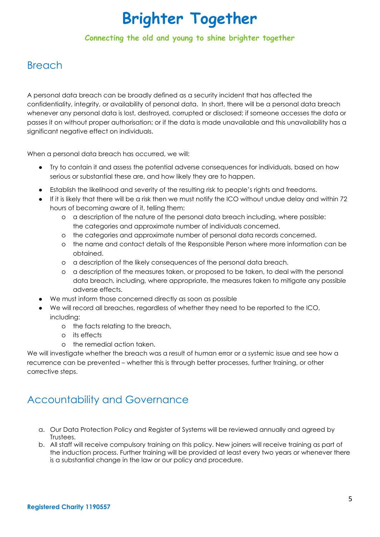#### **Connecting the old and young to shine brighter together**

## Breach

A personal data breach can be broadly defined as a security incident that has affected the confidentiality, integrity, or availability of personal data. In short, there will be a personal data breach whenever any personal data is lost, destroyed, corrupted or disclosed; if someone accesses the data or passes it on without proper authorisation; or if the data is made unavailable and this unavailability has a significant negative effect on individuals.

When a personal data breach has occurred, we will:

- Try to contain it and assess the potential adverse consequences for individuals, based on how serious or substantial these are, and how likely they are to happen.
- Establish the likelihood and severity of the resulting risk to people's rights and freedoms.
- If it is likely that there will be a risk then we must notify the ICO without undue delay and within 72 hours of becoming aware of it, telling them:
	- o a description of the nature of the personal data breach including, where possible: the categories and approximate number of individuals concerned.
	- o the categories and approximate number of personal data records concerned.
	- o the name and contact details of the Responsible Person where more information can be obtained.
	- o a description of the likely consequences of the personal data breach.
	- o a description of the measures taken, or proposed to be taken, to deal with the personal data breach, including, where appropriate, the measures taken to mitigate any possible adverse effects.
- We must inform those concerned directly as soon as possible
- We will record all breaches, regardless of whether they need to be reported to the ICO, including:
	- o the facts relating to the breach,
	- o its effects
	- o the remedial action taken.

We will investigate whether the breach was a result of human error or a systemic issue and see how a recurrence can be prevented – whether this is through better processes, further training, or other corrective steps.

## Accountability and Governance

- a. Our Data Protection Policy and Register of Systems will be reviewed annually and agreed by Trustees.
- b. All staff will receive compulsory training on this policy. New joiners will receive training as part of the induction process. Further training will be provided at least every two years or whenever there is a substantial change in the law or our policy and procedure.